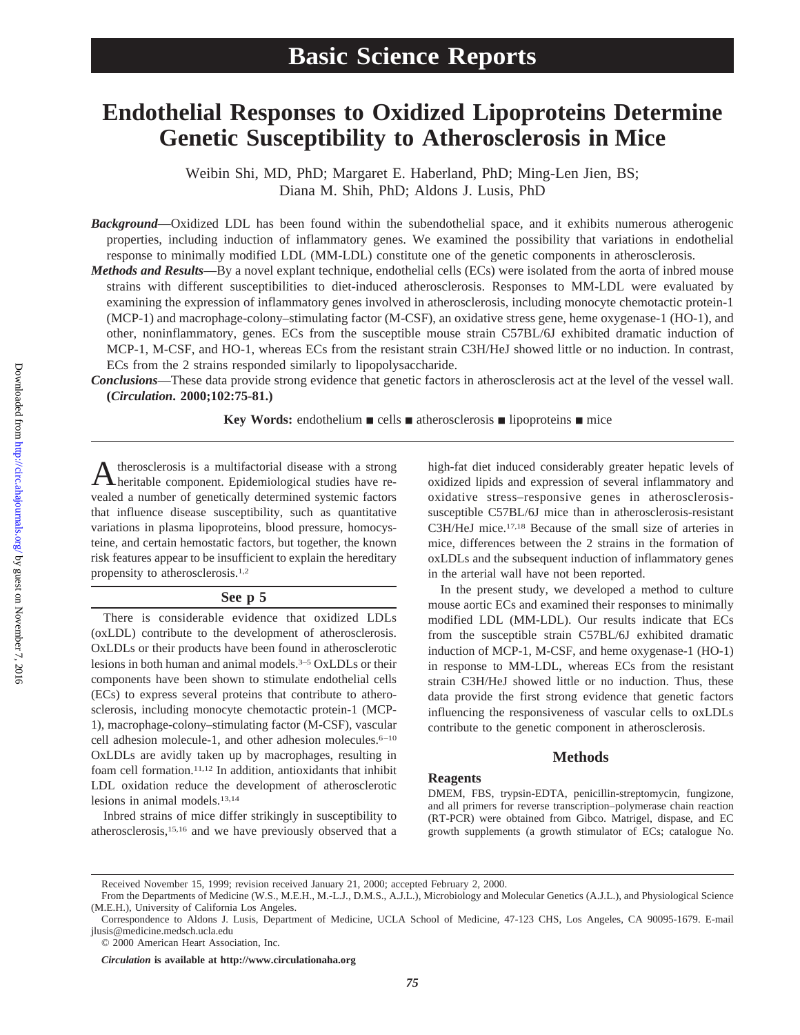# **Endothelial Responses to Oxidized Lipoproteins Determine Genetic Susceptibility to Atherosclerosis in Mice**

Weibin Shi, MD, PhD; Margaret E. Haberland, PhD; Ming-Len Jien, BS; Diana M. Shih, PhD; Aldons J. Lusis, PhD

*Background*—Oxidized LDL has been found within the subendothelial space, and it exhibits numerous atherogenic properties, including induction of inflammatory genes. We examined the possibility that variations in endothelial response to minimally modified LDL (MM-LDL) constitute one of the genetic components in atherosclerosis.

*Methods and Results*—By a novel explant technique, endothelial cells (ECs) were isolated from the aorta of inbred mouse strains with different susceptibilities to diet-induced atherosclerosis. Responses to MM-LDL were evaluated by examining the expression of inflammatory genes involved in atherosclerosis, including monocyte chemotactic protein-1 (MCP-1) and macrophage-colony–stimulating factor (M-CSF), an oxidative stress gene, heme oxygenase-1 (HO-1), and other, noninflammatory, genes. ECs from the susceptible mouse strain C57BL/6J exhibited dramatic induction of MCP-1, M-CSF, and HO-1, whereas ECs from the resistant strain C3H/HeJ showed little or no induction. In contrast, ECs from the 2 strains responded similarly to lipopolysaccharide.

*Conclusions*—These data provide strong evidence that genetic factors in atherosclerosis act at the level of the vessel wall. **(***Circulation***. 2000;102:75-81.)**

**Key Words:** endothelium  $\blacksquare$  cells  $\blacksquare$  atherosclerosis  $\blacksquare$  lipoproteins  $\blacksquare$  mice

Atherosclerosis is a multifactorial disease with a strong heritable component. Epidemiological studies have revealed a number of genetically determined systemic factors that influence disease susceptibility, such as quantitative variations in plasma lipoproteins, blood pressure, homocysteine, and certain hemostatic factors, but together, the known risk features appear to be insufficient to explain the hereditary propensity to atherosclerosis.<sup>1,2</sup>

#### **See p 5**

There is considerable evidence that oxidized LDLs (oxLDL) contribute to the development of atherosclerosis. OxLDLs or their products have been found in atherosclerotic lesions in both human and animal models.3–5 OxLDLs or their components have been shown to stimulate endothelial cells (ECs) to express several proteins that contribute to atherosclerosis, including monocyte chemotactic protein-1 (MCP-1), macrophage-colony–stimulating factor (M-CSF), vascular cell adhesion molecule-1, and other adhesion molecules.6–10 OxLDLs are avidly taken up by macrophages, resulting in foam cell formation.11,12 In addition, antioxidants that inhibit LDL oxidation reduce the development of atherosclerotic lesions in animal models.13,14

Inbred strains of mice differ strikingly in susceptibility to atherosclerosis,15,16 and we have previously observed that a

high-fat diet induced considerably greater hepatic levels of oxidized lipids and expression of several inflammatory and oxidative stress–responsive genes in atherosclerosissusceptible C57BL/6J mice than in atherosclerosis-resistant C3H/HeJ mice.17,18 Because of the small size of arteries in mice, differences between the 2 strains in the formation of oxLDLs and the subsequent induction of inflammatory genes in the arterial wall have not been reported.

In the present study, we developed a method to culture mouse aortic ECs and examined their responses to minimally modified LDL (MM-LDL). Our results indicate that ECs from the susceptible strain C57BL/6J exhibited dramatic induction of MCP-1, M-CSF, and heme oxygenase-1 (HO-1) in response to MM-LDL, whereas ECs from the resistant strain C3H/HeJ showed little or no induction. Thus, these data provide the first strong evidence that genetic factors influencing the responsiveness of vascular cells to oxLDLs contribute to the genetic component in atherosclerosis.

## **Methods**

#### **Reagents**

DMEM, FBS, trypsin-EDTA, penicillin-streptomycin, fungizone, and all primers for reverse transcription–polymerase chain reaction (RT-PCR) were obtained from Gibco. Matrigel, dispase, and EC growth supplements (a growth stimulator of ECs; catalogue No.

Received November 15, 1999; revision received January 21, 2000; accepted February 2, 2000.

From the Departments of Medicine (W.S., M.E.H., M.-L.J., D.M.S., A.J.L.), Microbiology and Molecular Genetics (A.J.L.), and Physiological Science (M.E.H.), University of California Los Angeles.

Correspondence to Aldons J. Lusis, Department of Medicine, UCLA School of Medicine, 47-123 CHS, Los Angeles, CA 90095-1679. E-mail jlusis@medicine.medsch.ucla.edu

<sup>© 2000</sup> American Heart Association, Inc.

*Circulation* **is available at http://www.circulationaha.org**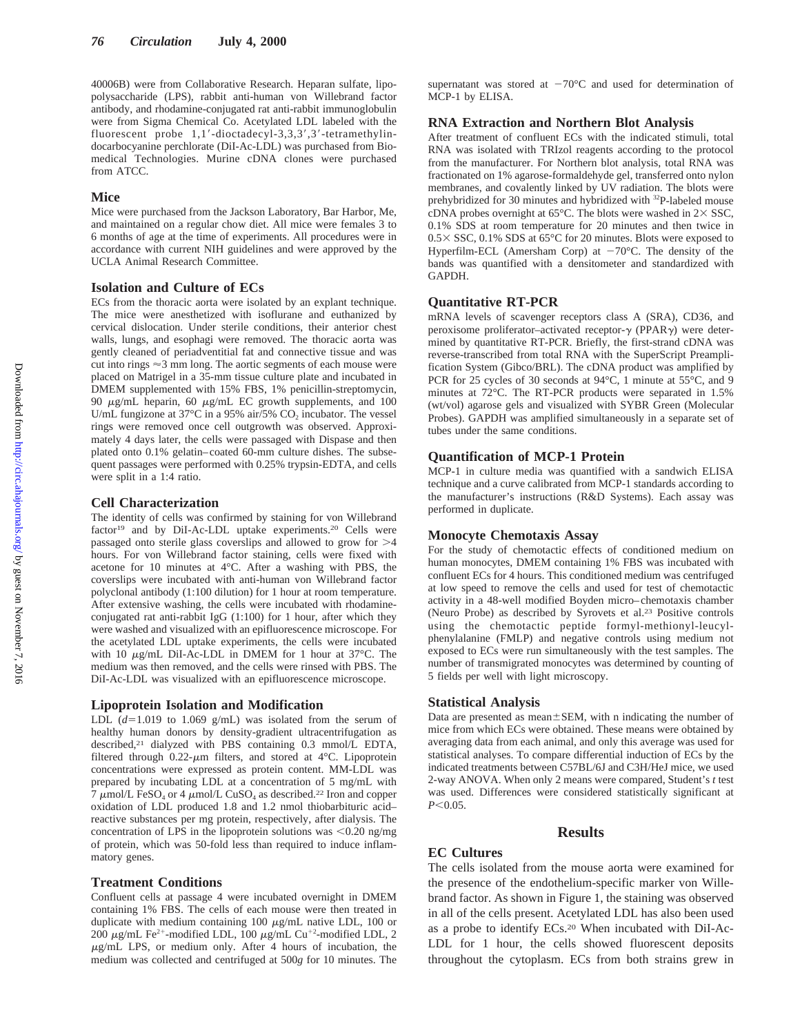40006B) were from Collaborative Research. Heparan sulfate, lipopolysaccharide (LPS), rabbit anti-human von Willebrand factor antibody, and rhodamine-conjugated rat anti-rabbit immunoglobulin were from Sigma Chemical Co. Acetylated LDL labeled with the fluorescent probe  $1,1'$ -dioctadecyl-3,3,3',3'-tetramethylindocarbocyanine perchlorate (DiI-Ac-LDL) was purchased from Biomedical Technologies. Murine cDNA clones were purchased from ATCC.

#### **Mice**

Mice were purchased from the Jackson Laboratory, Bar Harbor, Me, and maintained on a regular chow diet. All mice were females 3 to 6 months of age at the time of experiments. All procedures were in accordance with current NIH guidelines and were approved by the UCLA Animal Research Committee.

## **Isolation and Culture of ECs**

ECs from the thoracic aorta were isolated by an explant technique. The mice were anesthetized with isoflurane and euthanized by cervical dislocation. Under sterile conditions, their anterior chest walls, lungs, and esophagi were removed. The thoracic aorta was gently cleaned of periadventitial fat and connective tissue and was cut into rings  $\approx$ 3 mm long. The aortic segments of each mouse were placed on Matrigel in a 35-mm tissue culture plate and incubated in DMEM supplemented with 15% FBS, 1% penicillin-streptomycin, 90 <sup>m</sup>g/mL heparin, 60 <sup>m</sup>g/mL EC growth supplements, and 100 U/mL fungizone at 37 $\degree$ C in a 95% air/5% CO<sub>2</sub> incubator. The vessel rings were removed once cell outgrowth was observed. Approximately 4 days later, the cells were passaged with Dispase and then plated onto 0.1% gelatin–coated 60-mm culture dishes. The subsequent passages were performed with 0.25% trypsin-EDTA, and cells were split in a 1:4 ratio.

#### **Cell Characterization**

The identity of cells was confirmed by staining for von Willebrand factor<sup>19</sup> and by DiI-Ac-LDL uptake experiments.<sup>20</sup> Cells were passaged onto sterile glass coverslips and allowed to grow for  $>4$ hours. For von Willebrand factor staining, cells were fixed with acetone for 10 minutes at 4°C. After a washing with PBS, the coverslips were incubated with anti-human von Willebrand factor polyclonal antibody (1:100 dilution) for 1 hour at room temperature. After extensive washing, the cells were incubated with rhodamineconjugated rat anti-rabbit IgG (1:100) for 1 hour, after which they were washed and visualized with an epifluorescence microscope. For the acetylated LDL uptake experiments, the cells were incubated with 10  $\mu$ g/mL DiI-Ac-LDL in DMEM for 1 hour at 37°C. The medium was then removed, and the cells were rinsed with PBS. The DiI-Ac-LDL was visualized with an epifluorescence microscope.

#### **Lipoprotein Isolation and Modification**

LDL  $(d=1.019$  to 1.069 g/mL) was isolated from the serum of healthy human donors by density-gradient ultracentrifugation as described,21 dialyzed with PBS containing 0.3 mmol/L EDTA, filtered through 0.22- $\mu$ m filters, and stored at 4°C. Lipoprotein concentrations were expressed as protein content. MM-LDL was prepared by incubating LDL at a concentration of 5 mg/mL with 7  $\mu$ mol/L FeSO<sub>4</sub> or 4  $\mu$ mol/L CuSO<sub>4</sub> as described.<sup>22</sup> Iron and copper oxidation of LDL produced 1.8 and 1.2 nmol thiobarbituric acid– reactive substances per mg protein, respectively, after dialysis. The concentration of LPS in the lipoprotein solutions was  $\leq 0.20$  ng/mg of protein, which was 50-fold less than required to induce inflammatory genes.

#### **Treatment Conditions**

Confluent cells at passage 4 were incubated overnight in DMEM containing 1% FBS. The cells of each mouse were then treated in duplicate with medium containing 100  $\mu$ g/mL native LDL, 100 or 200  $\mu$ g/mL Fe<sup>2+</sup>-modified LDL, 100  $\mu$ g/mL Cu<sup>+2</sup>-modified LDL, 2  $\mu$ g/mL LPS, or medium only. After 4 hours of incubation, the medium was collected and centrifuged at 500*g* for 10 minutes. The

supernatant was stored at  $-70^{\circ}$ C and used for determination of MCP-1 by ELISA.

#### **RNA Extraction and Northern Blot Analysis**

After treatment of confluent ECs with the indicated stimuli, total RNA was isolated with TRIzol reagents according to the protocol from the manufacturer. For Northern blot analysis, total RNA was fractionated on 1% agarose-formaldehyde gel, transferred onto nylon membranes, and covalently linked by UV radiation. The blots were prehybridized for 30 minutes and hybridized with 32P-labeled mouse cDNA probes overnight at 65 $^{\circ}$ C. The blots were washed in 2 $\times$  SSC, 0.1% SDS at room temperature for 20 minutes and then twice in  $0.5 \times$  SSC, 0.1% SDS at 65°C for 20 minutes. Blots were exposed to Hyperfilm-ECL (Amersham Corp) at  $-70^{\circ}$ C. The density of the bands was quantified with a densitometer and standardized with GAPDH.

#### **Quantitative RT-PCR**

mRNA levels of scavenger receptors class A (SRA), CD36, and peroxisome proliferator-activated receptor- $\gamma$  (PPAR $\gamma$ ) were determined by quantitative RT-PCR. Briefly, the first-strand cDNA was reverse-transcribed from total RNA with the SuperScript Preamplification System (Gibco/BRL). The cDNA product was amplified by PCR for 25 cycles of 30 seconds at 94°C, 1 minute at 55°C, and 9 minutes at 72°C. The RT-PCR products were separated in 1.5% (wt/vol) agarose gels and visualized with SYBR Green (Molecular Probes). GAPDH was amplified simultaneously in a separate set of tubes under the same conditions.

#### **Quantification of MCP-1 Protein**

MCP-1 in culture media was quantified with a sandwich ELISA technique and a curve calibrated from MCP-1 standards according to the manufacturer's instructions (R&D Systems). Each assay was performed in duplicate.

#### **Monocyte Chemotaxis Assay**

For the study of chemotactic effects of conditioned medium on human monocytes, DMEM containing 1% FBS was incubated with confluent ECs for 4 hours. This conditioned medium was centrifuged at low speed to remove the cells and used for test of chemotactic activity in a 48-well modified Boyden micro–chemotaxis chamber (Neuro Probe) as described by Syrovets et al.23 Positive controls using the chemotactic peptide formyl-methionyl-leucylphenylalanine (FMLP) and negative controls using medium not exposed to ECs were run simultaneously with the test samples. The number of transmigrated monocytes was determined by counting of 5 fields per well with light microscopy.

#### **Statistical Analysis**

Data are presented as mean $\pm$ SEM, with n indicating the number of mice from which ECs were obtained. These means were obtained by averaging data from each animal, and only this average was used for statistical analyses. To compare differential induction of ECs by the indicated treatments between C57BL/6J and C3H/HeJ mice, we used 2-way ANOVA. When only 2 means were compared, Student's *t* test was used. Differences were considered statistically significant at  $P < 0.05$ .

#### **Results**

## **EC Cultures**

The cells isolated from the mouse aorta were examined for the presence of the endothelium-specific marker von Willebrand factor. As shown in Figure 1, the staining was observed in all of the cells present. Acetylated LDL has also been used as a probe to identify ECs.20 When incubated with DiI-Ac-LDL for 1 hour, the cells showed fluorescent deposits throughout the cytoplasm. ECs from both strains grew in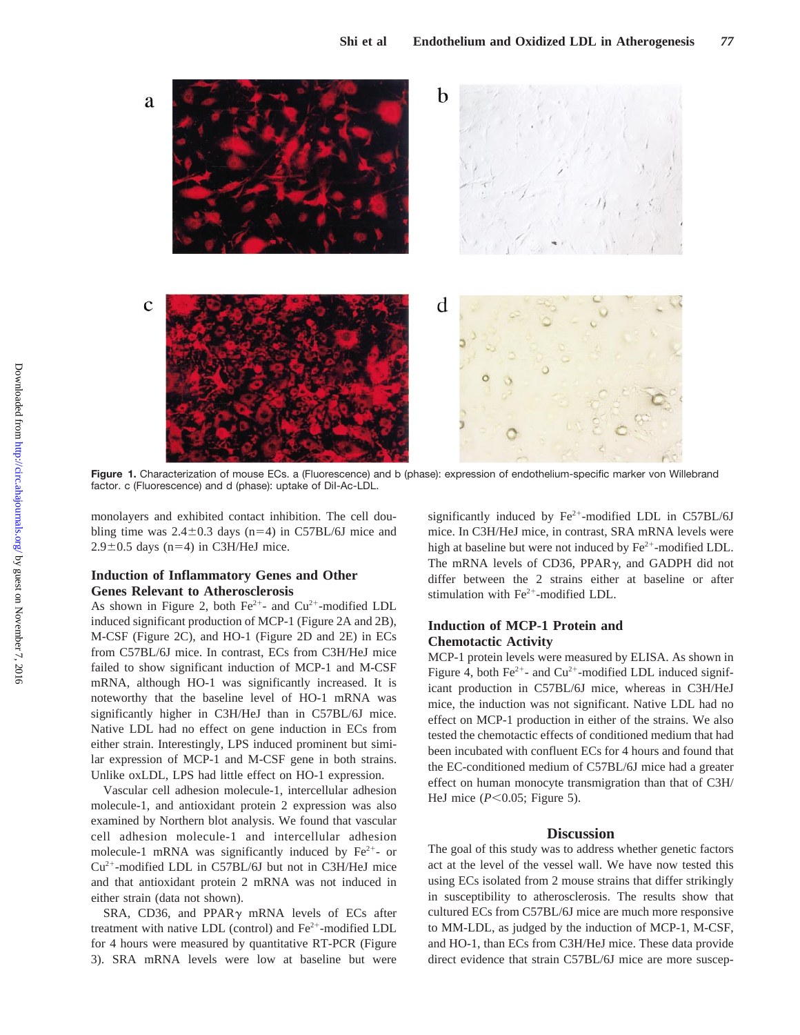

**Figure 1.** Characterization of mouse ECs. a (Fluorescence) and b (phase): expression of endothelium-specific marker von Willebrand factor. c (Fluorescence) and d (phase): uptake of DiI-Ac-LDL.

monolayers and exhibited contact inhibition. The cell doubling time was  $2.4\pm0.3$  days (n=4) in C57BL/6J mice and  $2.9\pm0.5$  days (n=4) in C3H/HeJ mice.

## **Induction of Inflammatory Genes and Other Genes Relevant to Atherosclerosis**

As shown in Figure 2, both  $Fe^{2+}$ - and  $Cu^{2+}$ -modified LDL induced significant production of MCP-1 (Figure 2A and 2B), M-CSF (Figure 2C), and HO-1 (Figure 2D and 2E) in ECs from C57BL/6J mice. In contrast, ECs from C3H/HeJ mice failed to show significant induction of MCP-1 and M-CSF mRNA, although HO-1 was significantly increased. It is noteworthy that the baseline level of HO-1 mRNA was significantly higher in C3H/HeJ than in C57BL/6J mice. Native LDL had no effect on gene induction in ECs from either strain. Interestingly, LPS induced prominent but similar expression of MCP-1 and M-CSF gene in both strains. Unlike oxLDL, LPS had little effect on HO-1 expression.

Vascular cell adhesion molecule-1, intercellular adhesion molecule-1, and antioxidant protein 2 expression was also examined by Northern blot analysis. We found that vascular cell adhesion molecule-1 and intercellular adhesion molecule-1 mRNA was significantly induced by  $Fe^{2+}$ - or  $Cu<sup>2+</sup>$ -modified LDL in C57BL/6J but not in C3H/HeJ mice and that antioxidant protein 2 mRNA was not induced in either strain (data not shown).

SRA, CD36, and PPAR $\gamma$  mRNA levels of ECs after treatment with native LDL (control) and  $Fe<sup>2+</sup>$ -modified LDL for 4 hours were measured by quantitative RT-PCR (Figure 3). SRA mRNA levels were low at baseline but were

significantly induced by  $Fe^{2+}$ -modified LDL in C57BL/6J mice. In C3H/HeJ mice, in contrast, SRA mRNA levels were high at baseline but were not induced by  $Fe<sup>2+</sup>$ -modified LDL. The mRNA levels of CD36, PPAR $\gamma$ , and GADPH did not differ between the 2 strains either at baseline or after stimulation with  $Fe<sup>2+</sup>$ -modified LDL.

## **Induction of MCP-1 Protein and Chemotactic Activity**

MCP-1 protein levels were measured by ELISA. As shown in Figure 4, both  $Fe^{2+}$ - and  $Cu^{2+}$ -modified LDL induced significant production in C57BL/6J mice, whereas in C3H/HeJ mice, the induction was not significant. Native LDL had no effect on MCP-1 production in either of the strains. We also tested the chemotactic effects of conditioned medium that had been incubated with confluent ECs for 4 hours and found that the EC-conditioned medium of C57BL/6J mice had a greater effect on human monocyte transmigration than that of C3H/ HeJ mice  $(P<0.05$ ; Figure 5).

## **Discussion**

The goal of this study was to address whether genetic factors act at the level of the vessel wall. We have now tested this using ECs isolated from 2 mouse strains that differ strikingly in susceptibility to atherosclerosis. The results show that cultured ECs from C57BL/6J mice are much more responsive to MM-LDL, as judged by the induction of MCP-1, M-CSF, and HO-1, than ECs from C3H/HeJ mice. These data provide direct evidence that strain C57BL/6J mice are more suscep-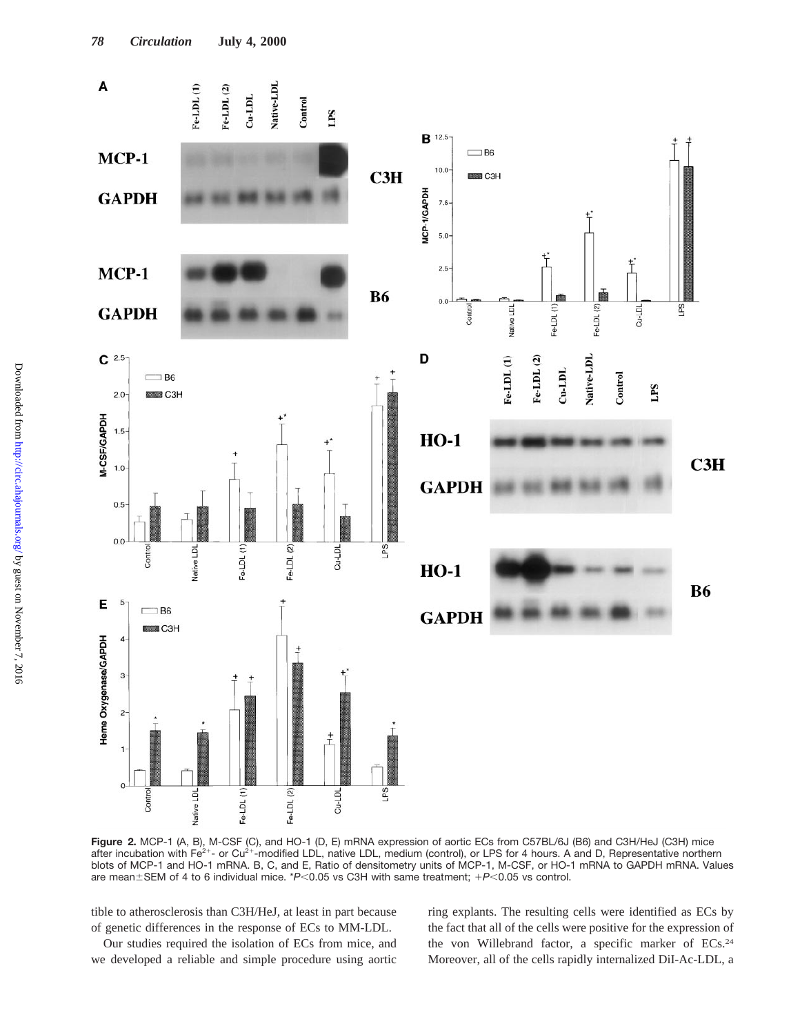

**Figure 2.** MCP-1 (A, B), M-CSF (C), and HO-1 (D, E) mRNA expression of aortic ECs from C57BL/6J (B6) and C3H/HeJ (C3H) mice after incubation with Fe<sup>2+</sup>- or Cu<sup>2+</sup>-modified LDL, native LDL, medium (control), or LPS for 4 hours. A and D, Representative northern blots of MCP-1 and HO-1 mRNA. B, C, and E, Ratio of densitometry units of MCP-1, M-CSF, or HO-1 mRNA to GAPDH mRNA. Values are mean±SEM of 4 to 6 individual mice. \**P*<0.05 vs C3H with same treatment; +*P*<0.05 vs control.

tible to atherosclerosis than C3H/HeJ, at least in part because of genetic differences in the response of ECs to MM-LDL.

Our studies required the isolation of ECs from mice, and we developed a reliable and simple procedure using aortic ring explants. The resulting cells were identified as ECs by the fact that all of the cells were positive for the expression of the von Willebrand factor, a specific marker of ECs.24 Moreover, all of the cells rapidly internalized DiI-Ac-LDL, a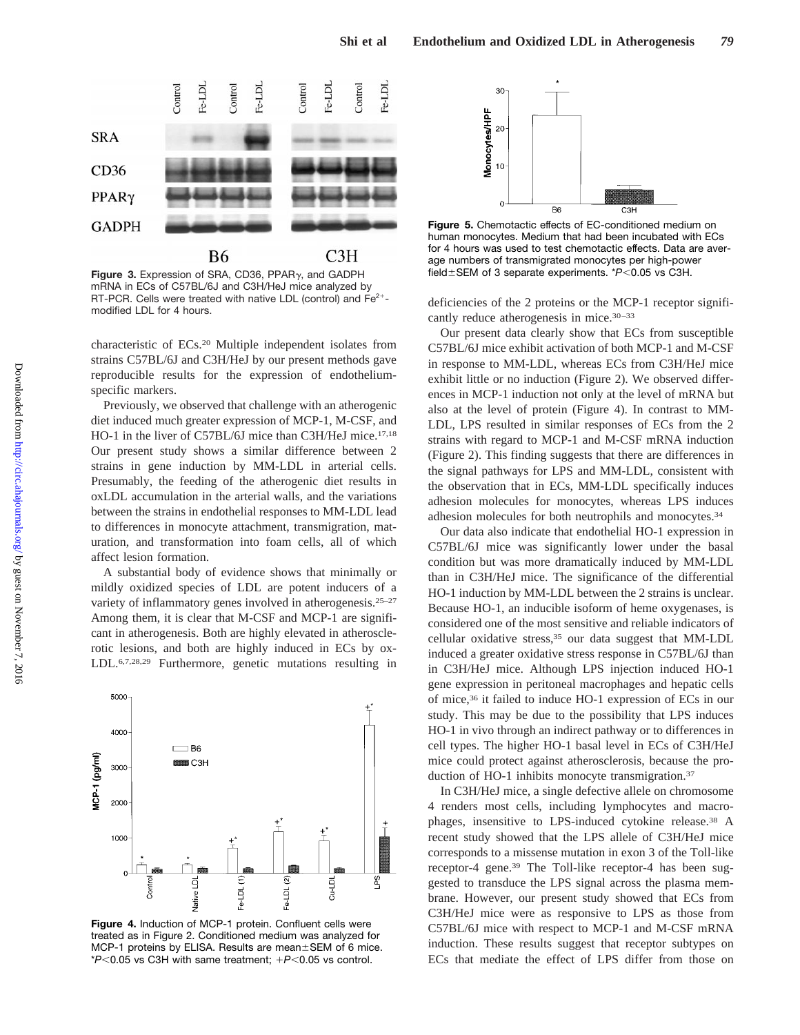

**Figure 3.** Expression of SRA, CD36, PPAR<sub>Y</sub>, and GADPH field±SEM of 3 separate experiments. \**P*<0.05 vs C3H. mRNA in ECs of C57BL/6J and C3H/HeJ mice analyzed by RT-PCR. Cells were treated with native LDL (control) and  $Fe<sup>2+</sup>$ modified LDL for 4 hours.

characteristic of ECs.20 Multiple independent isolates from strains C57BL/6J and C3H/HeJ by our present methods gave reproducible results for the expression of endotheliumspecific markers.

Previously, we observed that challenge with an atherogenic diet induced much greater expression of MCP-1, M-CSF, and HO-1 in the liver of C57BL/6J mice than C3H/HeJ mice.17,18 Our present study shows a similar difference between 2 strains in gene induction by MM-LDL in arterial cells. Presumably, the feeding of the atherogenic diet results in oxLDL accumulation in the arterial walls, and the variations between the strains in endothelial responses to MM-LDL lead to differences in monocyte attachment, transmigration, maturation, and transformation into foam cells, all of which affect lesion formation.

A substantial body of evidence shows that minimally or mildly oxidized species of LDL are potent inducers of a variety of inflammatory genes involved in atherogenesis.25–27 Among them, it is clear that M-CSF and MCP-1 are significant in atherogenesis. Both are highly elevated in atherosclerotic lesions, and both are highly induced in ECs by ox-LDL.6,7,28,29 Furthermore, genetic mutations resulting in



**Figure 4.** Induction of MCP-1 protein. Confluent cells were treated as in Figure 2. Conditioned medium was analyzed for MCP-1 proteins by ELISA. Results are mean±SEM of 6 mice.  $*P<0.05$  vs C3H with same treatment;  $+P<0.05$  vs control.



**Figure 5.** Chemotactic effects of EC-conditioned medium on human monocytes. Medium that had been incubated with ECs for 4 hours was used to test chemotactic effects. Data are average numbers of transmigrated monocytes per high-power

deficiencies of the 2 proteins or the MCP-1 receptor significantly reduce atherogenesis in mice.<sup>30-33</sup>

Our present data clearly show that ECs from susceptible C57BL/6J mice exhibit activation of both MCP-1 and M-CSF in response to MM-LDL, whereas ECs from C3H/HeJ mice exhibit little or no induction (Figure 2). We observed differences in MCP-1 induction not only at the level of mRNA but also at the level of protein (Figure 4). In contrast to MM-LDL, LPS resulted in similar responses of ECs from the 2 strains with regard to MCP-1 and M-CSF mRNA induction (Figure 2). This finding suggests that there are differences in the signal pathways for LPS and MM-LDL, consistent with the observation that in ECs, MM-LDL specifically induces adhesion molecules for monocytes, whereas LPS induces adhesion molecules for both neutrophils and monocytes.34

Our data also indicate that endothelial HO-1 expression in C57BL/6J mice was significantly lower under the basal condition but was more dramatically induced by MM-LDL than in C3H/HeJ mice. The significance of the differential HO-1 induction by MM-LDL between the 2 strains is unclear. Because HO-1, an inducible isoform of heme oxygenases, is considered one of the most sensitive and reliable indicators of cellular oxidative stress,35 our data suggest that MM-LDL induced a greater oxidative stress response in C57BL/6J than in C3H/HeJ mice. Although LPS injection induced HO-1 gene expression in peritoneal macrophages and hepatic cells of mice,36 it failed to induce HO-1 expression of ECs in our study. This may be due to the possibility that LPS induces HO-1 in vivo through an indirect pathway or to differences in cell types. The higher HO-1 basal level in ECs of C3H/HeJ mice could protect against atherosclerosis, because the production of HO-1 inhibits monocyte transmigration.<sup>37</sup>

In C3H/HeJ mice, a single defective allele on chromosome 4 renders most cells, including lymphocytes and macrophages, insensitive to LPS-induced cytokine release.38 A recent study showed that the LPS allele of C3H/HeJ mice corresponds to a missense mutation in exon 3 of the Toll-like receptor-4 gene.39 The Toll-like receptor-4 has been suggested to transduce the LPS signal across the plasma membrane. However, our present study showed that ECs from C3H/HeJ mice were as responsive to LPS as those from C57BL/6J mice with respect to MCP-1 and M-CSF mRNA induction. These results suggest that receptor subtypes on ECs that mediate the effect of LPS differ from those on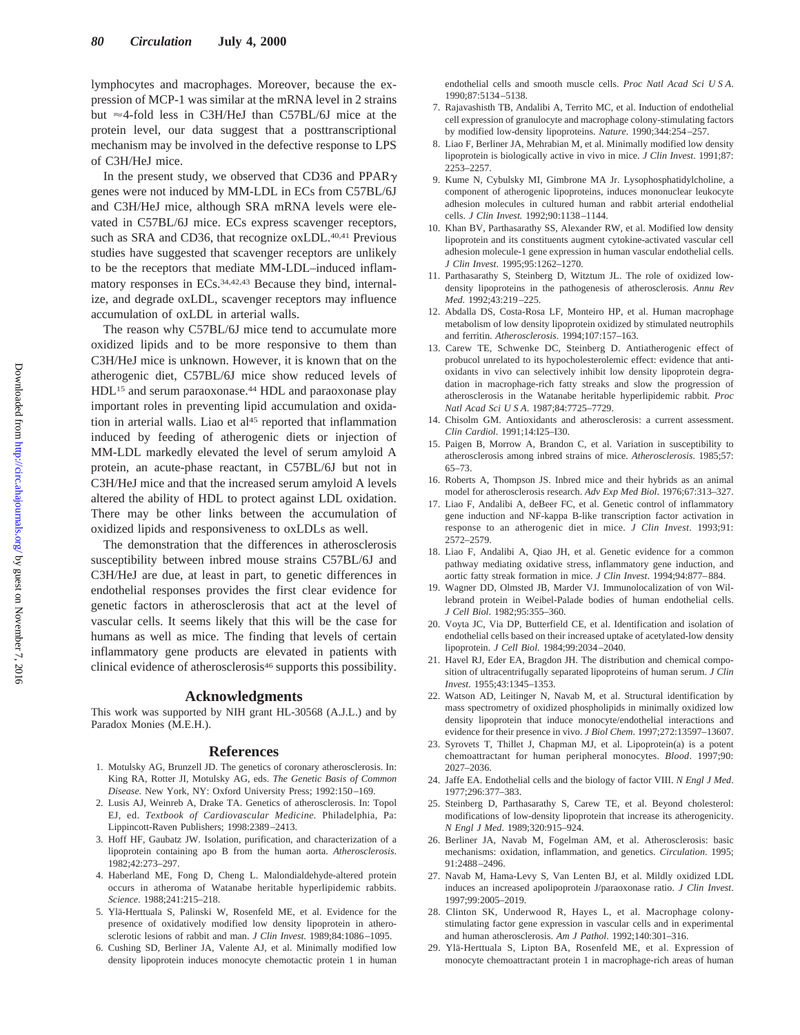lymphocytes and macrophages. Moreover, because the expression of MCP-1 was similar at the mRNA level in 2 strains but  $\approx$  4-fold less in C3H/HeJ than C57BL/6J mice at the protein level, our data suggest that a posttranscriptional mechanism may be involved in the defective response to LPS of C3H/HeJ mice.

In the present study, we observed that CD36 and PPAR $\gamma$ genes were not induced by MM-LDL in ECs from C57BL/6J and C3H/HeJ mice, although SRA mRNA levels were elevated in C57BL/6J mice. ECs express scavenger receptors, such as SRA and CD36, that recognize oxLDL.<sup>40,41</sup> Previous studies have suggested that scavenger receptors are unlikely to be the receptors that mediate MM-LDL–induced inflammatory responses in ECs.<sup>34,42,43</sup> Because they bind, internalize, and degrade oxLDL, scavenger receptors may influence accumulation of oxLDL in arterial walls.

The reason why C57BL/6J mice tend to accumulate more oxidized lipids and to be more responsive to them than C3H/HeJ mice is unknown. However, it is known that on the atherogenic diet, C57BL/6J mice show reduced levels of HDL15 and serum paraoxonase.44 HDL and paraoxonase play important roles in preventing lipid accumulation and oxidation in arterial walls. Liao et al<sup>45</sup> reported that inflammation induced by feeding of atherogenic diets or injection of MM-LDL markedly elevated the level of serum amyloid A protein, an acute-phase reactant, in C57BL/6J but not in C3H/HeJ mice and that the increased serum amyloid A levels altered the ability of HDL to protect against LDL oxidation. There may be other links between the accumulation of oxidized lipids and responsiveness to oxLDLs as well.

The demonstration that the differences in atherosclerosis susceptibility between inbred mouse strains C57BL/6J and C3H/HeJ are due, at least in part, to genetic differences in endothelial responses provides the first clear evidence for genetic factors in atherosclerosis that act at the level of vascular cells. It seems likely that this will be the case for humans as well as mice. The finding that levels of certain inflammatory gene products are elevated in patients with clinical evidence of atherosclerosis<sup>46</sup> supports this possibility.

#### **Acknowledgments**

This work was supported by NIH grant HL-30568 (A.J.L.) and by Paradox Monies (M.E.H.).

#### **References**

- 1. Motulsky AG, Brunzell JD. The genetics of coronary atherosclerosis. In: King RA, Rotter JI, Motulsky AG, eds. *The Genetic Basis of Common Disease.* New York, NY: Oxford University Press; 1992:150–169.
- 2. Lusis AJ, Weinreb A, Drake TA. Genetics of atherosclerosis. In: Topol EJ, ed. *Textbook of Cardiovascular Medicine.* Philadelphia, Pa: Lippincott-Raven Publishers; 1998:2389–2413.
- 3. Hoff HF, Gaubatz JW. Isolation, purification, and characterization of a lipoprotein containing apo B from the human aorta. *Atherosclerosis*. 1982;42:273–297.
- 4. Haberland ME, Fong D, Cheng L. Malondialdehyde-altered protein occurs in atheroma of Watanabe heritable hyperlipidemic rabbits. *Science*. 1988;241:215–218.
- 5. Yla¨-Herttuala S, Palinski W, Rosenfeld ME, et al. Evidence for the presence of oxidatively modified low density lipoprotein in atherosclerotic lesions of rabbit and man. *J Clin Invest*. 1989;84:1086–1095.
- 6. Cushing SD, Berliner JA, Valente AJ, et al. Minimally modified low density lipoprotein induces monocyte chemotactic protein 1 in human

endothelial cells and smooth muscle cells. *Proc Natl Acad Sci U S A*. 1990;87:5134–5138.

- 7. Rajavashisth TB, Andalibi A, Territo MC, et al. Induction of endothelial cell expression of granulocyte and macrophage colony-stimulating factors by modified low-density lipoproteins. *Nature*. 1990;344:254–257.
- 8. Liao F, Berliner JA, Mehrabian M, et al. Minimally modified low density lipoprotein is biologically active in vivo in mice. *J Clin Invest*. 1991;87: 2253–2257.
- 9. Kume N, Cybulsky MI, Gimbrone MA Jr. Lysophosphatidylcholine, a component of atherogenic lipoproteins, induces mononuclear leukocyte adhesion molecules in cultured human and rabbit arterial endothelial cells. *J Clin Invest.* 1992;90:1138–1144.
- 10. Khan BV, Parthasarathy SS, Alexander RW, et al. Modified low density lipoprotein and its constituents augment cytokine-activated vascular cell adhesion molecule-1 gene expression in human vascular endothelial cells. *J Clin Invest*. 1995;95:1262–1270.
- 11. Parthasarathy S, Steinberg D, Witztum JL. The role of oxidized lowdensity lipoproteins in the pathogenesis of atherosclerosis. *Annu Rev Med*. 1992;43:219–225.
- 12. Abdalla DS, Costa-Rosa LF, Monteiro HP, et al. Human macrophage metabolism of low density lipoprotein oxidized by stimulated neutrophils and ferritin. *Atherosclerosis*. 1994;107:157–163.
- 13. Carew TE, Schwenke DC, Steinberg D. Antiatherogenic effect of probucol unrelated to its hypocholesterolemic effect: evidence that antioxidants in vivo can selectively inhibit low density lipoprotein degradation in macrophage-rich fatty streaks and slow the progression of atherosclerosis in the Watanabe heritable hyperlipidemic rabbit. *Proc Natl Acad Sci U S A*. 1987;84:7725–7729.
- 14. Chisolm GM. Antioxidants and atherosclerosis: a current assessment. *Clin Cardiol*. 1991;14:I25–I30.
- 15. Paigen B, Morrow A, Brandon C, et al. Variation in susceptibility to atherosclerosis among inbred strains of mice. *Atherosclerosis*. 1985;57: 65–73.
- 16. Roberts A, Thompson JS. Inbred mice and their hybrids as an animal model for atherosclerosis research. *Adv Exp Med Biol*. 1976;67:313–327.
- 17. Liao F, Andalibi A, deBeer FC, et al. Genetic control of inflammatory gene induction and NF-kappa B-like transcription factor activation in response to an atherogenic diet in mice. *J Clin Invest*. 1993;91: 2572–2579.
- 18. Liao F, Andalibi A, Qiao JH, et al. Genetic evidence for a common pathway mediating oxidative stress, inflammatory gene induction, and aortic fatty streak formation in mice. *J Clin Invest*. 1994;94:877–884.
- 19. Wagner DD, Olmsted JB, Marder VJ. Immunolocalization of von Willebrand protein in Weibel-Palade bodies of human endothelial cells. *J Cell Biol*. 1982;95:355–360.
- 20. Voyta JC, Via DP, Butterfield CE, et al. Identification and isolation of endothelial cells based on their increased uptake of acetylated-low density lipoprotein. *J Cell Biol*. 1984;99:2034–2040.
- 21. Havel RJ, Eder EA, Bragdon JH. The distribution and chemical composition of ultracentrifugally separated lipoproteins of human serum. *J Clin Invest*. 1955;43:1345–1353.
- 22. Watson AD, Leitinger N, Navab M, et al. Structural identification by mass spectrometry of oxidized phospholipids in minimally oxidized low density lipoprotein that induce monocyte/endothelial interactions and evidence for their presence in vivo. *J Biol Chem*. 1997;272:13597–13607.
- 23. Syrovets T, Thillet J, Chapman MJ, et al. Lipoprotein(a) is a potent chemoattractant for human peripheral monocytes. *Blood*. 1997;90: 2027–2036.
- 24. Jaffe EA. Endothelial cells and the biology of factor VIII. *N Engl J Med*. 1977;296:377–383.
- 25. Steinberg D, Parthasarathy S, Carew TE, et al. Beyond cholesterol: modifications of low-density lipoprotein that increase its atherogenicity. *N Engl J Med*. 1989;320:915–924.
- 26. Berliner JA, Navab M, Fogelman AM, et al. Atherosclerosis: basic mechanisms: oxidation, inflammation, and genetics. *Circulation*. 1995; 91:2488–2496.
- 27. Navab M, Hama-Levy S, Van Lenten BJ, et al. Mildly oxidized LDL induces an increased apolipoprotein J/paraoxonase ratio. *J Clin Invest*. 1997;99:2005–2019.
- 28. Clinton SK, Underwood R, Hayes L, et al. Macrophage colonystimulating factor gene expression in vascular cells and in experimental and human atherosclerosis. *Am J Pathol*. 1992;140:301–316.
- 29. Yla¨-Herttuala S, Lipton BA, Rosenfeld ME, et al. Expression of monocyte chemoattractant protein 1 in macrophage-rich areas of human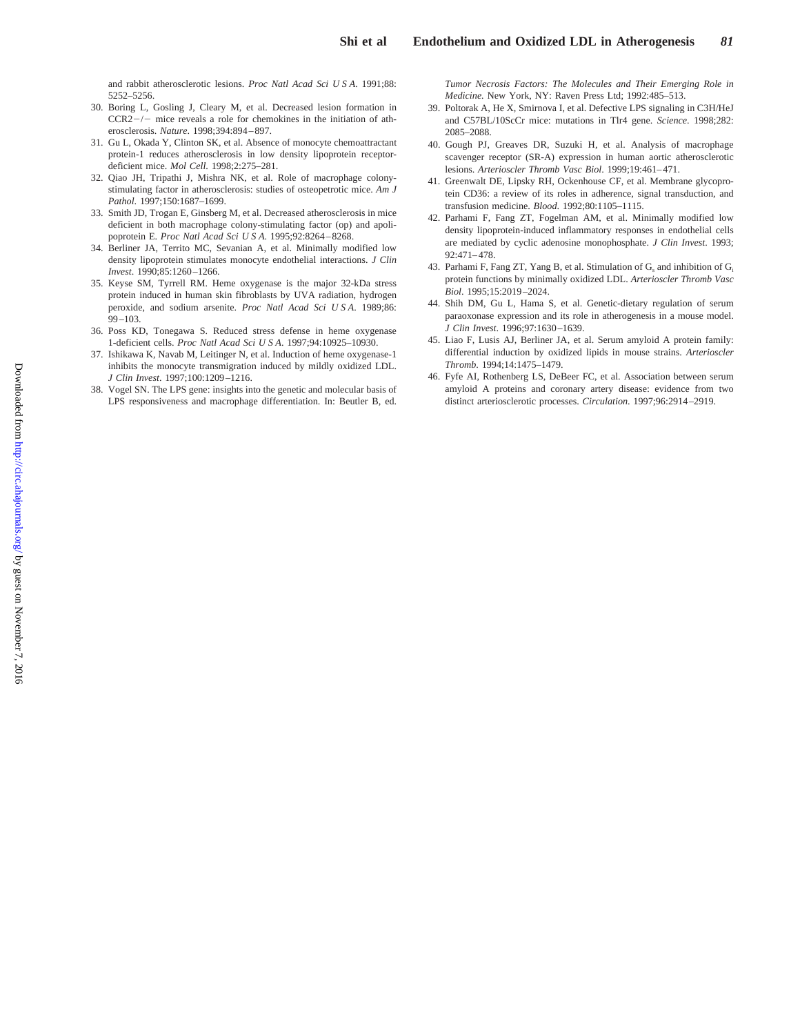and rabbit atherosclerotic lesions. *Proc Natl Acad Sci U S A*. 1991;88: 5252–5256.

- 30. Boring L, Gosling J, Cleary M, et al. Decreased lesion formation in  $CCR2-/-$  mice reveals a role for chemokines in the initiation of atherosclerosis. *Nature*. 1998;394:894–897.
- 31. Gu L, Okada Y, Clinton SK, et al. Absence of monocyte chemoattractant protein-1 reduces atherosclerosis in low density lipoprotein receptordeficient mice. *Mol Cell*. 1998;2:275–281.
- 32. Qiao JH, Tripathi J, Mishra NK, et al. Role of macrophage colonystimulating factor in atherosclerosis: studies of osteopetrotic mice. *Am J Pathol*. 1997;150:1687–1699.
- 33. Smith JD, Trogan E, Ginsberg M, et al. Decreased atherosclerosis in mice deficient in both macrophage colony-stimulating factor (op) and apolipoprotein E. *Proc Natl Acad Sci U S A*. 1995;92:8264–8268.
- 34. Berliner JA, Territo MC, Sevanian A, et al. Minimally modified low density lipoprotein stimulates monocyte endothelial interactions. *J Clin Invest*. 1990;85:1260–1266.
- 35. Keyse SM, Tyrrell RM. Heme oxygenase is the major 32-kDa stress protein induced in human skin fibroblasts by UVA radiation, hydrogen peroxide, and sodium arsenite. *Proc Natl Acad Sci U S A*. 1989;86: 99–103.
- 36. Poss KD, Tonegawa S. Reduced stress defense in heme oxygenase 1-deficient cells. *Proc Natl Acad Sci U S A*. 1997;94:10925–10930.
- 37. Ishikawa K, Navab M, Leitinger N, et al. Induction of heme oxygenase-1 inhibits the monocyte transmigration induced by mildly oxidized LDL. *J Clin Invest*. 1997;100:1209–1216.
- 38. Vogel SN. The LPS gene: insights into the genetic and molecular basis of LPS responsiveness and macrophage differentiation. In: Beutler B, ed.

*Tumor Necrosis Factors: The Molecules and Their Emerging Role in Medicine.* New York, NY: Raven Press Ltd; 1992:485–513.

- 39. Poltorak A, He X, Smirnova I, et al. Defective LPS signaling in C3H/HeJ and C57BL/10ScCr mice: mutations in Tlr4 gene. *Science*. 1998;282: 2085–2088.
- 40. Gough PJ, Greaves DR, Suzuki H, et al. Analysis of macrophage scavenger receptor (SR-A) expression in human aortic atherosclerotic lesions. *Arterioscler Thromb Vasc Biol*. 1999;19:461–471.
- 41. Greenwalt DE, Lipsky RH, Ockenhouse CF, et al. Membrane glycoprotein CD36: a review of its roles in adherence, signal transduction, and transfusion medicine. *Blood*. 1992;80:1105–1115.
- 42. Parhami F, Fang ZT, Fogelman AM, et al. Minimally modified low density lipoprotein-induced inflammatory responses in endothelial cells are mediated by cyclic adenosine monophosphate. *J Clin Invest*. 1993; 92:471–478.
- 43. Parhami F, Fang ZT, Yang B, et al. Stimulation of  $G_s$  and inhibition of  $G_i$ protein functions by minimally oxidized LDL. *Arterioscler Thromb Vasc Biol*. 1995;15:2019–2024.
- 44. Shih DM, Gu L, Hama S, et al. Genetic-dietary regulation of serum paraoxonase expression and its role in atherogenesis in a mouse model. *J Clin Invest*. 1996;97:1630–1639.
- 45. Liao F, Lusis AJ, Berliner JA, et al. Serum amyloid A protein family: differential induction by oxidized lipids in mouse strains. *Arterioscler Thromb*. 1994;14:1475–1479.
- 46. Fyfe AI, Rothenberg LS, DeBeer FC, et al. Association between serum amyloid A proteins and coronary artery disease: evidence from two distinct arteriosclerotic processes. *Circulation*. 1997;96:2914–2919.